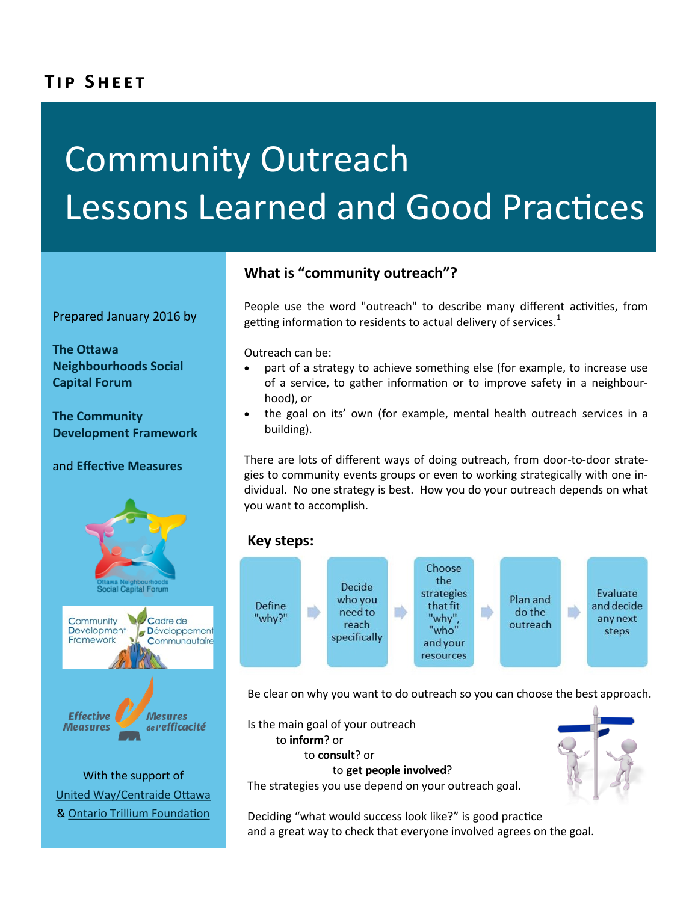# **TIP SHEET**

# Community Outreach Lessons Learned and Good Practices

Prepared January 2016 by

**[The Ottawa](http://www.onscf.ca)  [Neighbourhoods Social](http://www.onscf.ca)  [Capital Forum](http://www.onscf.ca)**

**[The Community](http://www.cdfcdc.ca/)  [Development Framework](http://www.cdfcdc.ca/)** 

and **[Effective Measures](http://www.gems-spc.ca)**



With the support of United Way/Centraide Ottawa & [Ontario Trillium Foundation](http://www.otf.ca)

## **What is "community outreach"?**

People use the word "outreach" to describe many different activities, from getting information to residents to actual delivery of services.<sup>1</sup>

Outreach can be:

- part of a strategy to achieve something else (for example, to increase use of a service, to gather information or to improve safety in a neighbourhood), or
- the goal on its' own (for example, mental health outreach services in a building).

There are lots of different ways of doing outreach, from door-to-door strategies to community events groups or even to working strategically with one individual. No one strategy is best. How you do your outreach depends on what you want to accomplish.

#### **Key steps:**



Be clear on why you want to do outreach so you can choose the best approach.

Is the main goal of your outreach to **inform**? or to **consult**? or to **get people involved**? The strategies you use depend on your outreach goal.

Deciding "what would success look like?" is good practice and a great way to check that everyone involved agrees on the goal.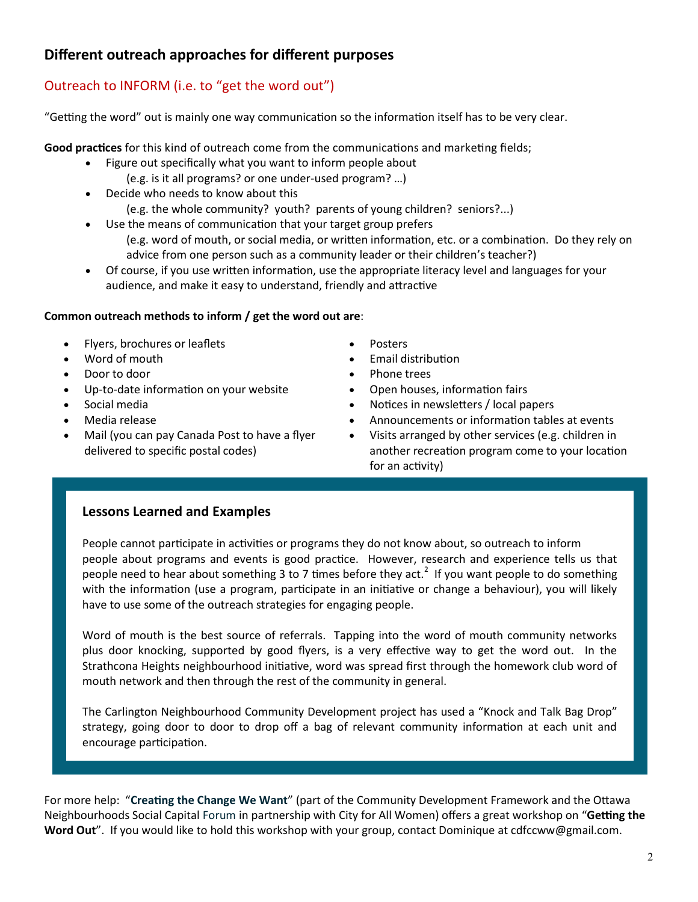## **Different outreach approaches for different purposes**

## Outreach to INFORM (i.e. to "get the word out")

"Getting the word" out is mainly one way communication so the information itself has to be very clear.

**Good practices** for this kind of outreach come from the communications and marketing fields;

- Figure out specifically what you want to inform people about
	- (e.g. is it all programs? or one under-used program? …)
- Decide who needs to know about this (e.g. the whole community? youth? parents of young children? seniors?...)
- Use the means of communication that your target group prefers
	- (e.g. word of mouth, or social media, or written information, etc. or a combination. Do they rely on advice from one person such as a community leader or their children's teacher?)
- Of course, if you use written information, use the appropriate literacy level and languages for your audience, and make it easy to understand, friendly and attractive

#### **Common outreach methods to inform / get the word out are**:

- Flyers, brochures or leaflets
- Word of mouth
- Door to door
- Up-to-date information on your website
- Social media
- Media release
- Mail (you can pay Canada Post to have a flyer delivered to specific postal codes)
- Posters
- Email distribution
- Phone trees
- Open houses, information fairs
- Notices in newsletters / local papers
- Announcements or information tables at events
- Visits arranged by other services (e.g. children in another recreation program come to your location for an activity)

#### **Lessons Learned and Examples**

People cannot participate in activities or programs they do not know about, so outreach to inform people about programs and events is good practice. However, research and experience tells us that people need to hear about something 3 to 7 times before they act.<sup>2</sup> If you want people to do something with the information (use a program, participate in an initiative or change a behaviour), you will likely have to use some of the outreach strategies for engaging people.

Word of mouth is the best source of referrals. Tapping into the word of mouth community networks plus door knocking, supported by good flyers, is a very effective way to get the word out. In the Strathcona Heights neighbourhood initiative, word was spread first through the homework club word of mouth network and then through the rest of the community in general.

The Carlington Neighbourhood Community Development project has used a "Knock and Talk Bag Drop" strategy, going door to door to drop off a bag of relevant community information at each unit and encourage participation.

For more help: "**[Creating the Change We Want](http://www.cdfcdc.ca/creating-the-change-we-want-ccww/)**" (part of the Community Development Framework and the Ottawa Neighbourhoods Social Capital Forum in partnership with City for All Women) offers a great workshop on "**Getting the Word Out**". If you would like to hold this workshop with your group, contact Dominique at cdfccww@gmail.com.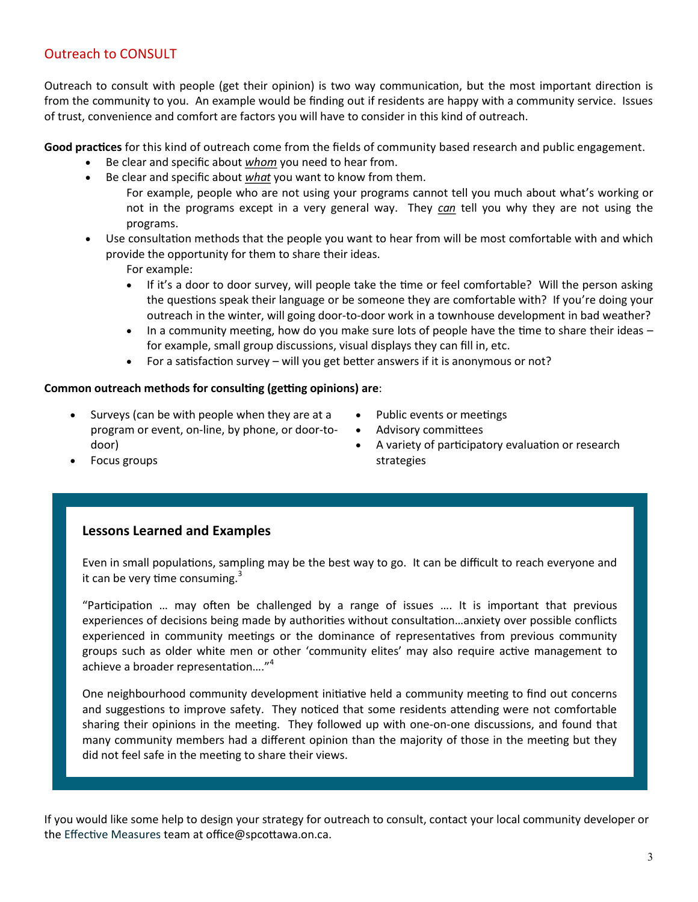### Outreach to CONSULT

Outreach to consult with people (get their opinion) is two way communication, but the most important direction is from the community to you. An example would be finding out if residents are happy with a community service. Issues of trust, convenience and comfort are factors you will have to consider in this kind of outreach.

**Good practices** for this kind of outreach come from the fields of community based research and public engagement.

- Be clear and specific about *whom* you need to hear from.
- Be clear and specific about *what* you want to know from them.
	- For example, people who are not using your programs cannot tell you much about what's working or not in the programs except in a very general way. They *can* tell you why they are not using the programs.
- Use consultation methods that the people you want to hear from will be most comfortable with and which provide the opportunity for them to share their ideas.

For example:

- If it's a door to door survey, will people take the time or feel comfortable? Will the person asking the questions speak their language or be someone they are comfortable with? If you're doing your outreach in the winter, will going door-to-door work in a townhouse development in bad weather?
- In a community meeting, how do you make sure lots of people have the time to share their ideas for example, small group discussions, visual displays they can fill in, etc.
- For a satisfaction survey will you get better answers if it is anonymous or not?

#### **Common outreach methods for consulting (getting opinions) are**:

- $\bullet$  Surveys (can be with people when they are at a program or event, on-line, by phone, or door-todoor)
- Public events or meetings
- Advisory committees
- A variety of participatory evaluation or research strategies

Focus groups

#### **Lessons Learned and Examples**

Even in small populations, sampling may be the best way to go. It can be difficult to reach everyone and it can be very time consuming. $3$ 

"Participation … may often be challenged by a range of issues …. It is important that previous experiences of decisions being made by authorities without consultation…anxiety over possible conflicts experienced in community meetings or the dominance of representatives from previous community groups such as older white men or other 'community elites' may also require active management to achieve a broader representation…."<sup>4</sup>

One neighbourhood community development initiative held a community meeting to find out concerns and suggestions to improve safety. They noticed that some residents attending were not comfortable sharing their opinions in the meeting. They followed up with one-on-one discussions, and found that many community members had a different opinion than the majority of those in the meeting but they did not feel safe in the meeting to share their views.

If you would like some help to design your strategy for outreach to consult, contact your local community developer or the [Effective Measures](http://www.gems-spc.ca/effective-measures/) team at office@spcottawa.on.ca.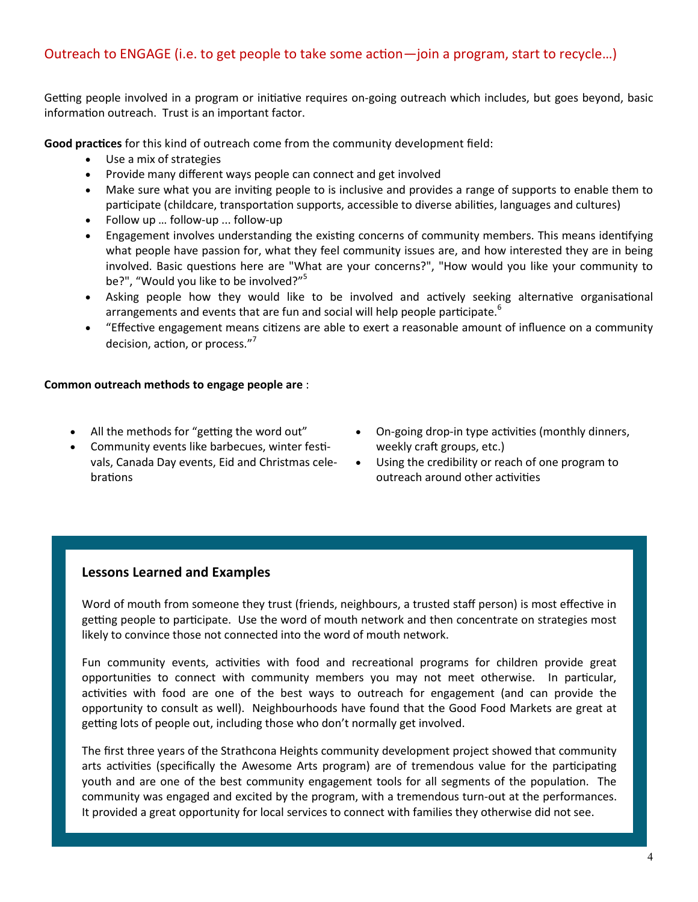#### Outreach to ENGAGE (i.e. to get people to take some action—join a program, start to recycle…)

Getting people involved in a program or initiative requires on-going outreach which includes, but goes beyond, basic information outreach. Trust is an important factor.

**Good practices** for this kind of outreach come from the community development field:

- Use a mix of strategies
- Provide many different ways people can connect and get involved
- Make sure what you are inviting people to is inclusive and provides a range of supports to enable them to participate (childcare, transportation supports, accessible to diverse abilities, languages and cultures)
- Follow up … follow-up ... follow-up
- Engagement involves understanding the existing concerns of community members. This means identifying what people have passion for, what they feel community issues are, and how interested they are in being involved. Basic questions here are "What are your concerns?", "How would you like your community to be?", "Would you like to be involved?"<sup>5</sup>
- Asking people how they would like to be involved and actively seeking alternative organisational arrangements and events that are fun and social will help people participate.<sup>6</sup>
- "Effective engagement means citizens are able to exert a reasonable amount of influence on a community decision, action, or process."<sup>7</sup>

#### **Common outreach methods to engage people are** :

- All the methods for "getting the word out"
- Community events like barbecues, winter festivals, Canada Day events, Eid and Christmas celebrations
- On-going drop-in type activities (monthly dinners, weekly craft groups, etc.)
- Using the credibility or reach of one program to outreach around other activities

#### **Lessons Learned and Examples**

Word of mouth from someone they trust (friends, neighbours, a trusted staff person) is most effective in getting people to participate. Use the word of mouth network and then concentrate on strategies most likely to convince those not connected into the word of mouth network.

Fun community events, activities with food and recreational programs for children provide great opportunities to connect with community members you may not meet otherwise. In particular, activities with food are one of the best ways to outreach for engagement (and can provide the opportunity to consult as well). Neighbourhoods have found that the Good Food Markets are great at getting lots of people out, including those who don't normally get involved.

The first three years of the Strathcona Heights community development project showed that community arts activities (specifically the Awesome Arts program) are of tremendous value for the participating youth and are one of the best community engagement tools for all segments of the population. The community was engaged and excited by the program, with a tremendous turn-out at the performances. It provided a great opportunity for local services to connect with families they otherwise did not see.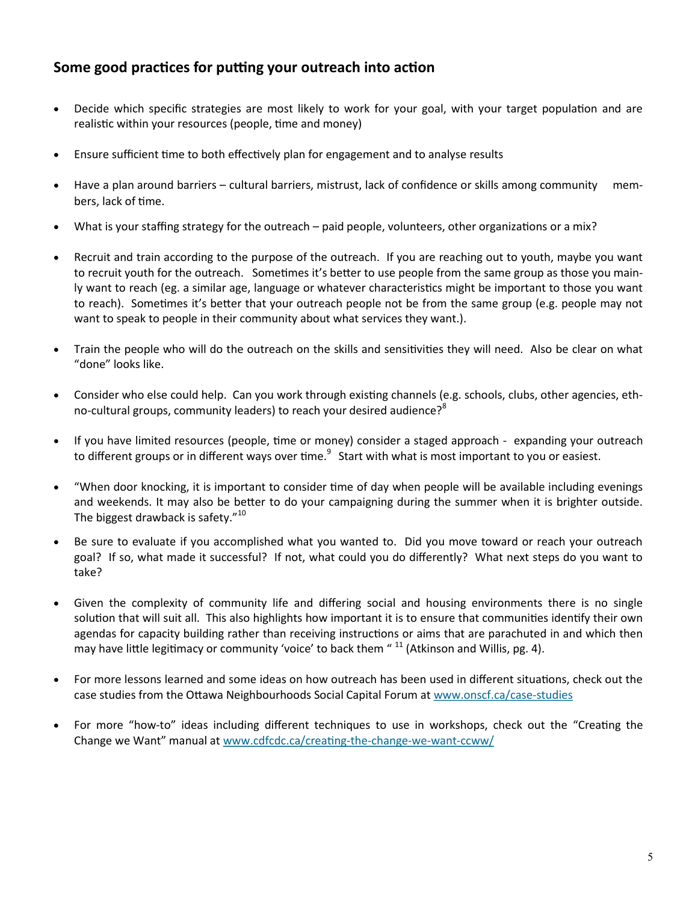## **Some good practices for putting your outreach into action**

- Decide which specific strategies are most likely to work for your goal, with your target population and are realistic within your resources (people, time and money)
- Ensure sufficient time to both effectively plan for engagement and to analyse results
- Have a plan around barriers cultural barriers, mistrust, lack of confidence or skills among community members, lack of time.
- What is your staffing strategy for the outreach paid people, volunteers, other organizations or a mix?
- Recruit and train according to the purpose of the outreach. If you are reaching out to youth, maybe you want to recruit youth for the outreach. Sometimes it's better to use people from the same group as those you mainly want to reach (eg. a similar age, language or whatever characteristics might be important to those you want to reach). Sometimes it's better that your outreach people not be from the same group (e.g. people may not want to speak to people in their community about what services they want.).
- Train the people who will do the outreach on the skills and sensitivities they will need. Also be clear on what "done" looks like.
- Consider who else could help. Can you work through existing channels (e.g. schools, clubs, other agencies, ethno-cultural groups, community leaders) to reach your desired audience?<sup>8</sup>
- If you have limited resources (people, time or money) consider a staged approach expanding your outreach to different groups or in different ways over time. $^9$  Start with what is most important to you or easiest.
- "When door knocking, it is important to consider time of day when people will be available including evenings and weekends. It may also be better to do your campaigning during the summer when it is brighter outside. The biggest drawback is safety."<sup>10</sup>
- Be sure to evaluate if you accomplished what you wanted to. Did you move toward or reach your outreach goal? If so, what made it successful? If not, what could you do differently? What next steps do you want to take?
- Given the complexity of community life and differing social and housing environments there is no single solution that will suit all. This also highlights how important it is to ensure that communities identify their own agendas for capacity building rather than receiving instructions or aims that are parachuted in and which then may have little legitimacy or community 'voice' to back them " <sup>11</sup> (Atkinson and Willis, pg. 4).
- For more lessons learned and some ideas on how outreach has been used in different situations, check out the case studies from the Ottawa Neighbourhoods Social Capital Forum at [www.onscf.ca/case](http://www.onscf.ca/case-studies)-studies
- For more "how-to" ideas including different techniques to use in workshops, check out the "Creating the Change we Want" manual at [www.cdfcdc.ca/creating](http://www.cdfcdc.ca/creating-the-change-we-want-ccww/)-the-change-we-want-ccww/